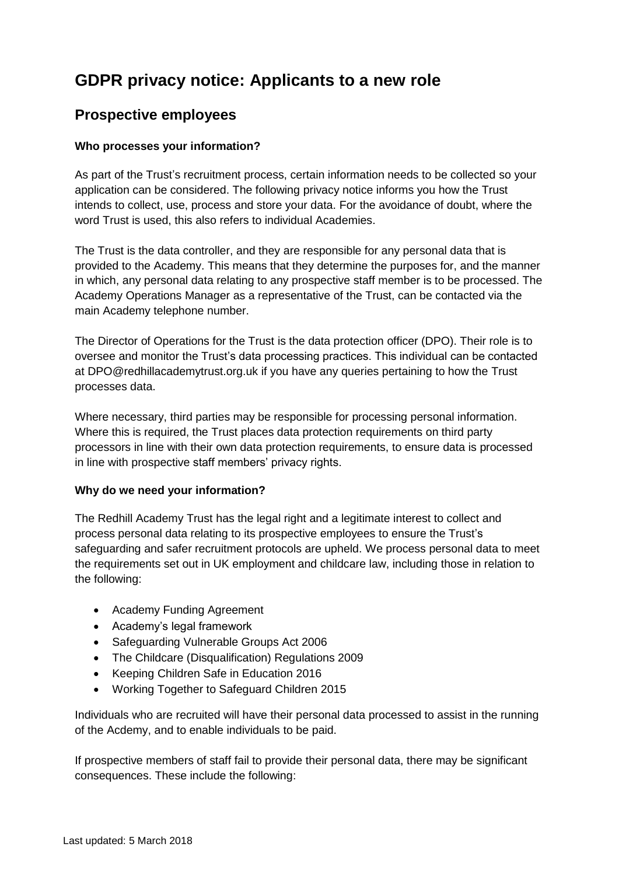# **GDPR privacy notice: Applicants to a new role**

# **Prospective employees**

# **Who processes your information?**

As part of the Trust's recruitment process, certain information needs to be collected so your application can be considered. The following privacy notice informs you how the Trust intends to collect, use, process and store your data. For the avoidance of doubt, where the word Trust is used, this also refers to individual Academies.

The Trust is the data controller, and they are responsible for any personal data that is provided to the Academy. This means that they determine the purposes for, and the manner in which, any personal data relating to any prospective staff member is to be processed. The Academy Operations Manager as a representative of the Trust, can be contacted via the main Academy telephone number.

The Director of Operations for the Trust is the data protection officer (DPO). Their role is to oversee and monitor the Trust's data processing practices. This individual can be contacted at DPO@redhillacademytrust.org.uk if you have any queries pertaining to how the Trust processes data.

Where necessary, third parties may be responsible for processing personal information. Where this is required, the Trust places data protection requirements on third party processors in line with their own data protection requirements, to ensure data is processed in line with prospective staff members' privacy rights.

#### **Why do we need your information?**

The Redhill Academy Trust has the legal right and a legitimate interest to collect and process personal data relating to its prospective employees to ensure the Trust's safeguarding and safer recruitment protocols are upheld. We process personal data to meet the requirements set out in UK employment and childcare law, including those in relation to the following:

- Academy Funding Agreement
- Academy's legal framework
- Safeguarding Vulnerable Groups Act 2006
- The Childcare (Disqualification) Regulations 2009
- Keeping Children Safe in Education 2016
- Working Together to Safeguard Children 2015

Individuals who are recruited will have their personal data processed to assist in the running of the Acdemy, and to enable individuals to be paid.

If prospective members of staff fail to provide their personal data, there may be significant consequences. These include the following: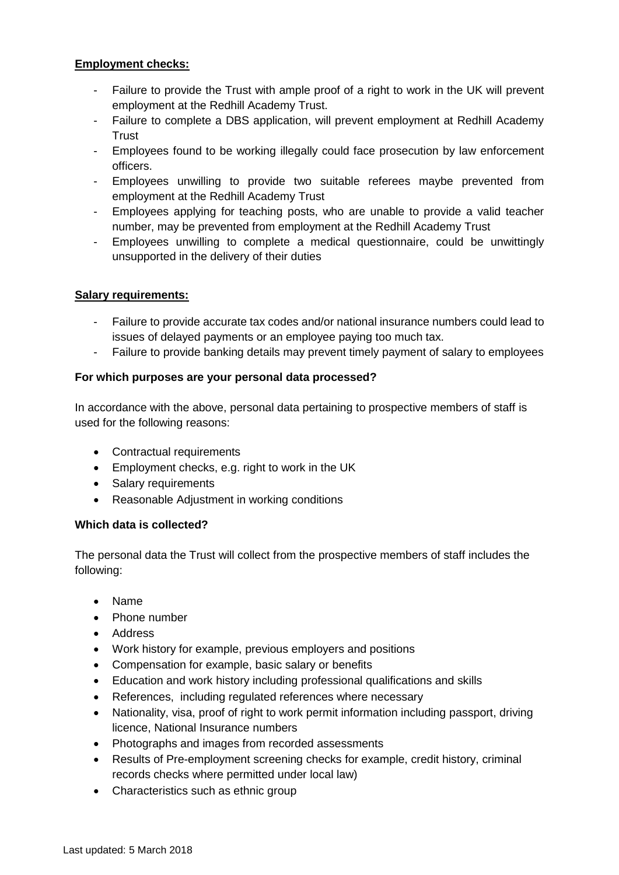# **Employment checks:**

- Failure to provide the Trust with ample proof of a right to work in the UK will prevent employment at the Redhill Academy Trust.
- Failure to complete a DBS application, will prevent employment at Redhill Academy **Trust**
- Employees found to be working illegally could face prosecution by law enforcement officers.
- Employees unwilling to provide two suitable referees maybe prevented from employment at the Redhill Academy Trust
- Employees applying for teaching posts, who are unable to provide a valid teacher number, may be prevented from employment at the Redhill Academy Trust
- Employees unwilling to complete a medical questionnaire, could be unwittingly unsupported in the delivery of their duties

# **Salary requirements:**

- Failure to provide accurate tax codes and/or national insurance numbers could lead to issues of delayed payments or an employee paying too much tax.
- Failure to provide banking details may prevent timely payment of salary to employees

# **For which purposes are your personal data processed?**

In accordance with the above, personal data pertaining to prospective members of staff is used for the following reasons:

- Contractual requirements
- Employment checks, e.g. right to work in the UK
- Salary requirements
- Reasonable Adjustment in working conditions

#### **Which data is collected?**

The personal data the Trust will collect from the prospective members of staff includes the following:

- Name
- Phone number
- Address
- Work history for example, previous employers and positions
- Compensation for example, basic salary or benefits
- Education and work history including professional qualifications and skills
- References, including regulated references where necessary
- Nationality, visa, proof of right to work permit information including passport, driving licence, National Insurance numbers
- Photographs and images from recorded assessments
- Results of Pre-employment screening checks for example, credit history, criminal records checks where permitted under local law)
- Characteristics such as ethnic group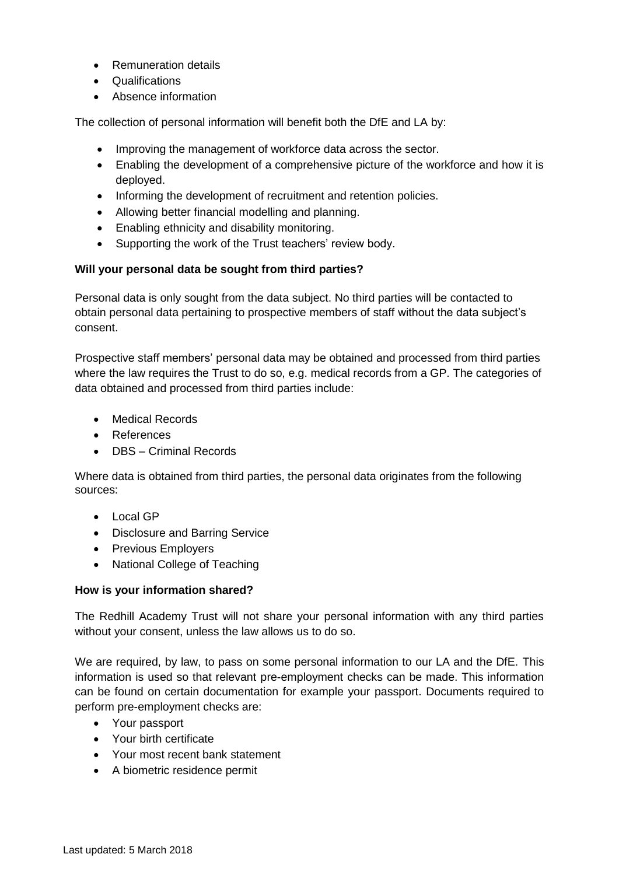- Remuneration details
- Qualifications
- Absence information

The collection of personal information will benefit both the DfE and LA by:

- Improving the management of workforce data across the sector.
- Enabling the development of a comprehensive picture of the workforce and how it is deployed.
- Informing the development of recruitment and retention policies.
- Allowing better financial modelling and planning.
- Enabling ethnicity and disability monitoring.
- Supporting the work of the Trust teachers' review body.

# **Will your personal data be sought from third parties?**

Personal data is only sought from the data subject. No third parties will be contacted to obtain personal data pertaining to prospective members of staff without the data subject's consent.

Prospective staff members' personal data may be obtained and processed from third parties where the law requires the Trust to do so, e.g. medical records from a GP. The categories of data obtained and processed from third parties include:

- Medical Records
- References
- DBS Criminal Records

Where data is obtained from third parties, the personal data originates from the following sources:

- Local GP
- Disclosure and Barring Service
- Previous Employers
- National College of Teaching

#### **How is your information shared?**

The Redhill Academy Trust will not share your personal information with any third parties without your consent, unless the law allows us to do so.

We are required, by law, to pass on some personal information to our LA and the DfE. This information is used so that relevant pre-employment checks can be made. This information can be found on certain documentation for example your passport. Documents required to perform pre-employment checks are:

- Your passport
- Your birth certificate
- Your most recent bank statement
- A biometric residence permit